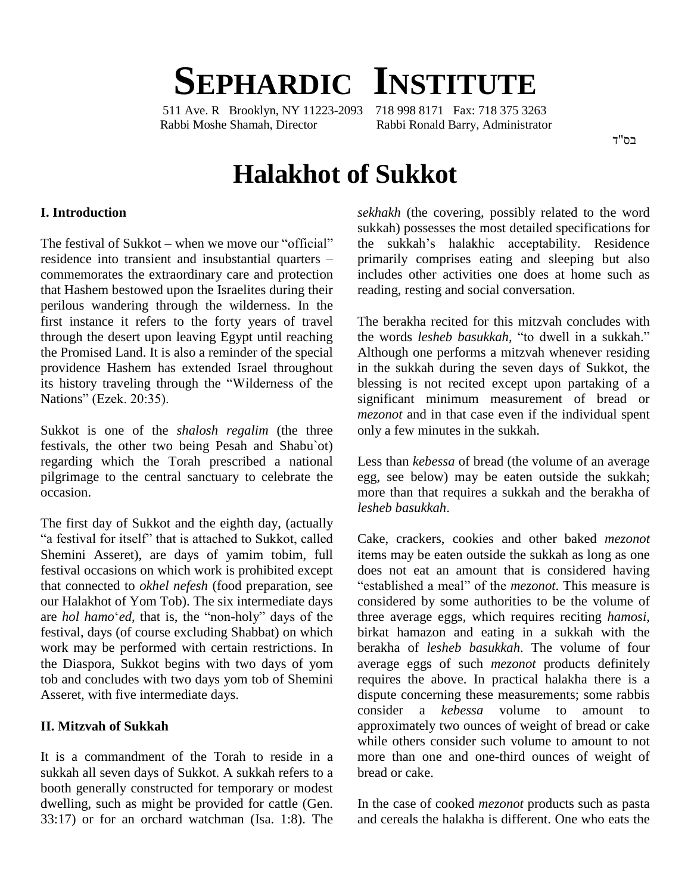# **SEPHARDIC INSTITUTE**

511 Ave. R Brooklyn, NY 11223-2093 718 998 8171 Fax: 718 375 3263 Rabbi Moshe Shamah, Director Rabbi Ronald Barry, Administrator

בס"ד

# **Halakhot of Sukkot**

#### **I. Introduction**

The festival of Sukkot – when we move our "official" residence into transient and insubstantial quarters  $$ commemorates the extraordinary care and protection that Hashem bestowed upon the Israelites during their perilous wandering through the wilderness. In the first instance it refers to the forty years of travel through the desert upon leaving Egypt until reaching the Promised Land. It is also a reminder of the special Alth<br>providence Hashem has extended Israel throughout in t<br>its history traveling through the "Wilderness of the bles providence Hashem has extended Israel throughout its history traveling through the "Wilderness of the Nations" (Ezek. 20:35).

Sukkot is one of the *shalosh regalim* (the three festivals, the other two being Pesah and Shabu`ot) regarding which the Torah prescribed a national pilgrimage to the central sanctuary to celebrate the occasion.

The first day of Sukkot and the eighth day, (actually "a festival for itself" that is attached to Sukkot, called Shemini Asseret), are days of yamim tobim, full festival occasions on which work is prohibited except that connected to *okhel nefesh* (food preparation, see "est<br>our Halakhot of Yom Tob). The six intermediate days con<br>are *hol hamo*<sup>t</sup>ed, that is, the "non-holy" days of the thre our Halakhot of Yom Tob). The six intermediate days festival, days (of course excluding Shabbat) on which work may be performed with certain restrictions. In the Diaspora, Sukkot begins with two days of yom tob and concludes with two days yom tob of Shemini Asseret, with five intermediate days.

#### **II. Mitzvah of Sukkah**

It is a commandment of the Torah to reside in a sukkah all seven days of Sukkot. A sukkah refers to a booth generally constructed for temporary or modest dwelling, such as might be provided for cattle (Gen. 33:17) or for an orchard watchman (Isa. 1:8). The *sekhakh* (the covering, possibly related to the word sukkah) possesses the most detailed specifications for the sukkah's halakhic acceptability. Residence primarily comprises eating and sleeping but also includes other activities one does at home such as reading, resting and social conversation.

The berakha recited for this mitzvah concludes with the words *lesheb basukkah*, "to dwell in a sukkah." Although one performs a mitzvah whenever residing in the sukkah during the seven days of Sukkot, the blessing is not recited except upon partaking of a significant minimum measurement of bread or *mezonot* and in that case even if the individual spent only a few minutes in the sukkah.

Less than *kebessa* of bread (the volume of an average egg, see below) may be eaten outside the sukkah; more than that requires a sukkah and the berakha of *lesheb basukkah*.

Cake, crackers, cookies and other baked *mezonot* items may be eaten outside the sukkah as long as one does not eat an amount that is considered having "established a meal" of the *mezonot*. This measure is considered by some authorities to be the volume of three average eggs, which requires reciting *hamosi*, birkat hamazon and eating in a sukkah with the berakha of *lesheb basukkah*. The volume of four average eggs of such *mezonot* products definitely requires the above. In practical halakha there is a dispute concerning these measurements; some rabbis consider a *kebessa* volume to amount to approximately two ounces of weight of bread or cake while others consider such volume to amount to not more than one and one-third ounces of weight of bread or cake.

In the case of cooked *mezonot* products such as pasta and cereals the halakha is different. One who eats the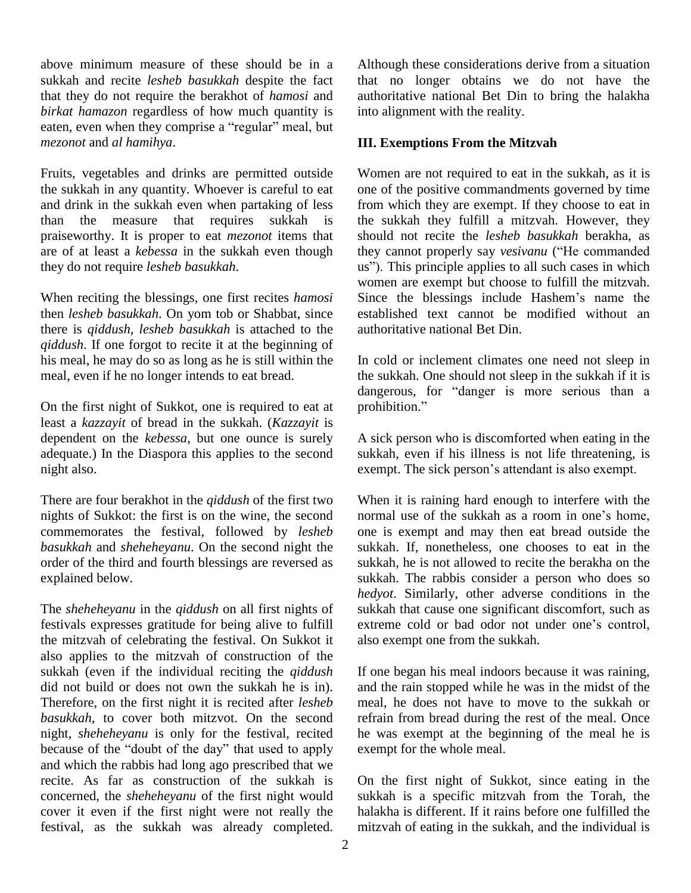above minimum measure of these should be in a sukkah and recite *lesheb basukkah* despite the fact that they do not require the berakhot of *hamosi* and *birkat hamazon* regardless of how much quantity is eaten, even when they comprise a "regular" meal, but *mezonot* and *al hamihya*.

Fruits, vegetables and drinks are permitted outside the sukkah in any quantity. Whoever is careful to eat and drink in the sukkah even when partaking of less than the measure that requires sukkah is praiseworthy. It is proper to eat*mezonot* items that are of at least a *kebessa* in the sukkah even though they do not require *lesheb basukkah*.

When reciting the blessings, one first recites *hamosi* then *lesheb basukkah*. On yom tob or Shabbat, since there is *qiddush*, *lesheb basukkah* is attached to the *qiddush*. If one forgot to recite it at the beginning of his meal, he may do so as long as he is still within the meal, even if he no longer intends to eat bread.

On the first night of Sukkot, one is required to eat at prohibition." least a *kazzayit* of bread in the sukkah. (*Kazzayit* is dependent on the *kebessa*, but one ounce is surely adequate.) In the Diaspora this applies to the second night also.

There are four berakhot in the *qiddush* of the first two nights of Sukkot: the first is on the wine, the second commemorates the festival, followed by *lesheb basukkah* and *sheheheyanu*. On the second night the order of the third and fourth blessings are reversed as explained below.

The *sheheheyanu* in the *qiddush* on all first nights of festivals expresses gratitude for being alive to fulfill the mitzvah of celebrating the festival. On Sukkot it also applies to the mitzvah of construction of the sukkah (even if the individual reciting the *qiddush* did not build or does not own the sukkah he is in). Therefore, on the first night it is recited after *lesheb basukkah*, to cover both mitzvot. On the second night, *sheheheyanu* is only for the festival, recited because of the "doubt of the day" that used to apply and which the rabbis had long ago prescribed that we recite. As far as construction of the sukkah is concerned, the *sheheheyanu* of the first night would cover it even if the first night were not really the festival, as the sukkah was already completed.

Although these considerations derive from a situation that no longer obtains we do not have the authoritative national Bet Din to bring the halakha into alignment with the reality.

#### **III. Exemptions From the Mitzvah**

Women are not required to eat in the sukkah, as it is one of the positive commandments governed by time from which they are exempt. If they choose to eat in the sukkah they fulfill a mitzvah. However, they should not recite the *lesheb basukkah* berakha, as they cannot properly say *vesivanu* ("He commanded should not recite the *lesheb basukkah* berakha, as us"). This principle applies to all such cases in which women are exempt but choose to fulfill the mitzvah. Since the blessings include Hashem's name the established text cannot be modified without an authoritative national Bet Din.

In cold or inclement climates one need not sleep in the sukkah. One should not sleep in the sukkah if it is dangerous, for "danger is more serious than a prohibition." dangerous, for "danger is more serious than a

A sick person who is discomforted when eating in the sukkah, even if his illness is not life threatening, is exempt. The sick person's attendant is also exempt.

When it is raining hard enough to interfere with the normal use of the sukkah as a room in one's home, one is exempt and may then eatbread outside the sukkah. If, nonetheless, one chooses to eat in the sukkah, he is not allowed to recite the berakha on the sukkah. The rabbis consider a person who does so *hedyot*. Similarly, other adverse conditions in the sukkah that cause one significant discomfort, such as extreme cold or bad odor not under one's control, sukkah that cause one significant discomfort, such as also exempt one from the sukkah.

If one began his meal indoors because it was raining, and the rain stopped while he was in the midst of the meal, he does not have to move to the sukkah or refrain from bread during the rest of the meal. Once he was exempt at the beginning of the meal he is exempt for the whole meal.

On the first night of Sukkot, since eating in the sukkah is a specific mitzvah from the Torah, the halakha is different. If it rains before one fulfilled the mitzvah of eating in the sukkah, and the individual is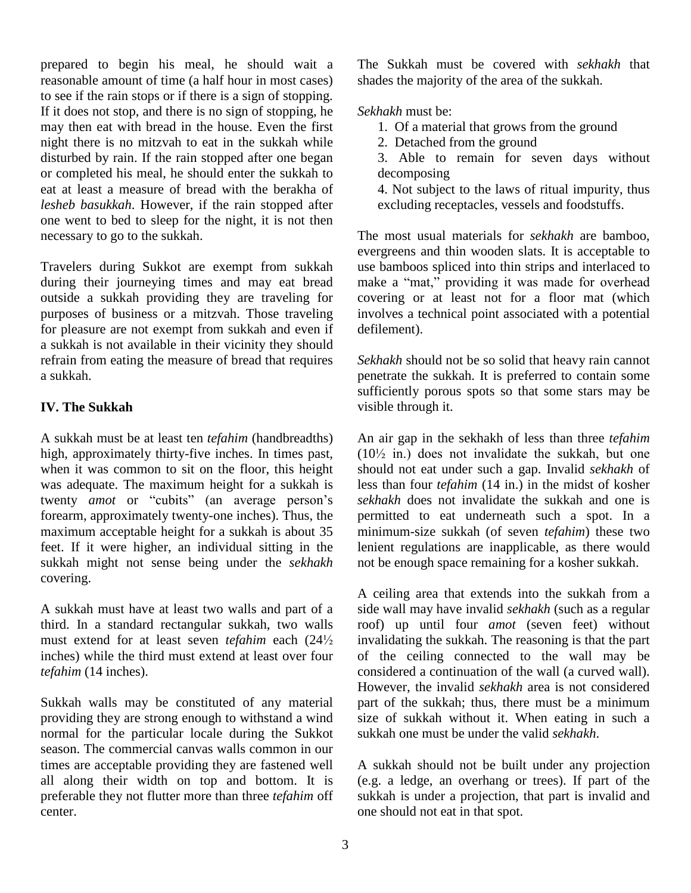prepared to begin his meal, he should wait a reasonable amount of time (a half hour in most cases) to see if the rain stops or if there is a sign of stopping. If it does not stop, and there is no sign of stopping, he may then eat with bread in the house. Even the first night there is no mitzvah to eat in the sukkah while disturbed by rain. If the rain stopped after one began or completed his meal, he should enter the sukkah to eat at least a measure of bread with the berakha of *lesheb basukkah*. However, if the rain stopped after one went to bed to sleep for the night, it is not then necessary to go to the sukkah.

Travelers during Sukkot are exempt from sukkah during their journeying times and may eat bread make a "mat," providing it was made for overhead outside a sukkah providing they are traveling for purposes of business or a mitzvah. Those traveling for pleasure are not exempt from sukkah and even if a sukkah is not available in their vicinity they should refrain from eating the measure of bread that requires a sukkah.

# **IV. The Sukkah**

A sukkah must be at least ten *tefahim* (handbreadths) high, approximately thirty-five inches. In times past,  $(10\frac{1}{2}$  in.) does not invalidate the sukkah, but one when it was common to sit on the floor, this height was adequate. The maximum height for a sukkah is twenty *amot* or "cubits" (an average person's forearm, approximately twenty-one inches). Thus, the maximum acceptable height for a sukkah is about 35 feet. If it were higher, an individual sitting in the sukkah might not sense being under the *sekhakh* covering.

A sukkah must have at least two walls and part of a third. In a standard rectangular sukkah, two walls must extend for at least seven *tefahim* each (24<sup>½</sup> inches) while the third must extend at least over four *tefahim* (14 inches).

Sukkah walls may be constituted of any material providing they are strong enough to withstand a wind normal for the particular locale during the Sukkot season. The commercial canvas walls common in our times are acceptable providing they are fastened well all along their width on top and bottom. It is preferable they not flutter more than three *tefahim* off center.

The Sukkah must be covered with *sekhakh* that shades the majority of the area of the sukkah.

*Sekhakh* must be:

- 1. Of a material that grows from the ground
- 2. Detached from the ground
- 3. Able to remain for seven days without decomposing
- 4. Not subject to the laws of ritual impurity, thus excluding receptacles, vessels and foodstuffs.

The most usual materials for *sekhakh* are bamboo, evergreens and thin wooden slats. It is acceptable to use bamboos spliced into thin strips and interlaced to evergreens and thin wooden slats. It is acceptable to<br>use bamboos spliced into thin strips and interlaced to<br>make a "mat," providing it was made for overhead covering or at least not for a floor mat (which involves a technical point associated with a potential defilement).

*Sekhakh* should not be so solid that heavy rain cannot penetrate the sukkah. It is preferred to contain some sufficiently porous spots so that some stars may be visible through it.

An air gap in the sekhakh of less than three *tefahim* An air gap in the sekhakh of less than three *tefahim*  $(10\frac{1}{2}$  in.) does not invalidate the sukkah, but one should noteat under such a gap. Invalid *sekhakh* of less than four *tefahim* (14 in.) in the midst of kosher *sekhakh* does not invalidate the sukkah and one is permitted to eat underneath such a spot. In a minimum-size sukkah (of seven *tefahim*) these two lenient regulations are inapplicable, as there would not be enough space remaining for a kosher sukkah.

A ceiling area that extends into the sukkah from a side wall may have invalid *sekhakh* (such as a regular roof) up until four *amot* (seven feet) without invalidating the sukkah. The reasoning is that the part of the ceiling connected to the wall may be considered a continuation of the wall (a curved wall). However, the invalid *sekhakh* area is not considered part of the sukkah; thus, there must be a minimum size of sukkah without it. When eating in such a sukkah one must be under the valid *sekhakh*.

A sukkah should not be built under any projection (e.g. a ledge, an overhang or trees). If part of the sukkah is under a projection, that part is invalid and one should not eat in that spot.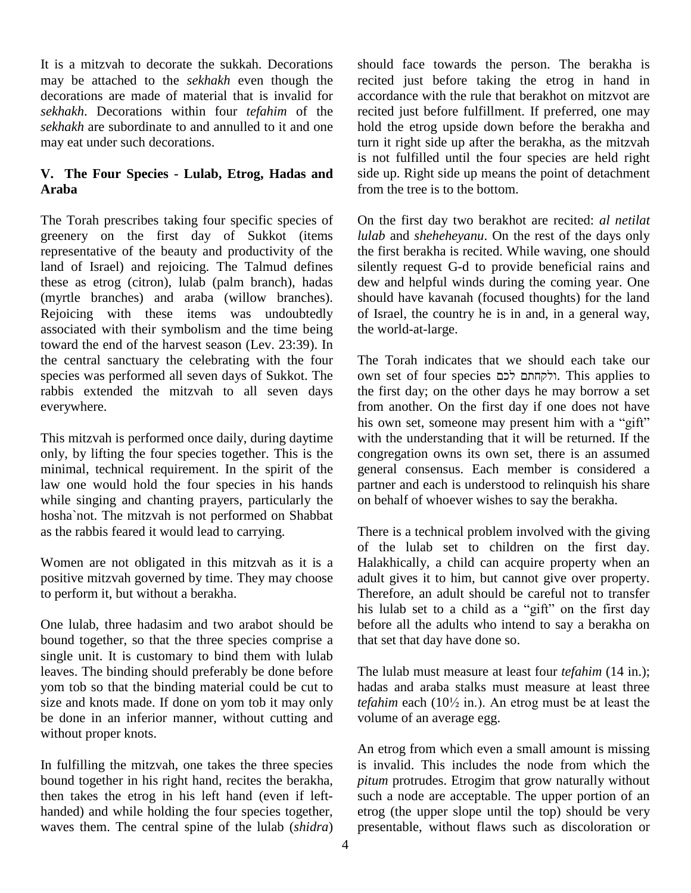It is a mitzvah to decorate the sukkah. Decorations may be attached to the *sekhakh* even though the decorations are made of material that is invalid for *sekhakh*. Decorations within four *tefahim* of the *sekhakh* are subordinate to and annulled to it and one may eat under such decorations.

# **V. The Four Species - Lulab, Etrog, Hadas and Araba**

The Torah prescribes taking four specific species of greenery on the first day of Sukkot (items representative of the beauty and productivity of the land of Israel) and rejoicing. The Talmud defines these as etrog (citron), lulab (palm branch), hadas (myrtle branches) and araba (willow branches). Rejoicing with these items was undoubtedly associated with their symbolism and the time being toward the end of the harvest season (Lev. 23:39). In the central sanctuary the celebrating with the four species was performed all seven days of Sukkot. The rabbis extended the mitzvah to all seven days everywhere.

This mitzvah is performed once daily, during daytime only, by lifting the four species together. This is the minimal, technical requirement. In the spirit of the law one would hold the four species in his hands while singing and chanting prayers, particularly the hosha`not. The mitzvah is not performed on Shabbat as the rabbis feared it would lead to carrying.

Women are not obligated in this mitzvah as it is a positive mitzvah governed by time. They may choose to perform it, but without a berakha.

One lulab, three hadasim and two arabot should be bound together, so that the three species comprise a that set that day have done so. single unit. It is customary to bind them with lulab leaves. The binding should preferably be done before yom tob so that the binding material could be cut to size and knots made. If done on yom tob it may only *tefahim* each  $(10\frac{1}{2})$  in.). An etrog must be at least the be done in an inferior manner, without cutting and without proper knots.

In fulfilling the mitzvah, one takes the three species bound together in his right hand, recites the berakha, then takes the etrog in his left hand (even if left handed) and while holding the four species together, waves them. The central spine of the lulab (*shidra*) should face towards the person. The berakha is recited just before taking the etrog in hand in accordance with the rule that berakhot on mitzvot are recited just before fulfillment. If preferred, one may hold the etrog upside down before the berakha and turn it right side up after the berakha, as the mitzvah is not fulfilled until the four species are held right side up. Right side up means the point of detachment from the tree is to the bottom.

On the first day two berakhot are recited: *al netilat lulab* and *sheheheyanu*. On the rest of the days only the first berakha is recited. While waving, one should silently request G-d to provide beneficial rains and dew and helpful winds during the coming year. One should have kavanah (focused thoughts) for the land of Israel, the country he is in and, in a general way, the world-at-large.

The Torah indicates that we should each take our own set of four species ולקחתם לכם. This applies to the first day; on the other days he may borrow a set from another. On the first day if one does not have the first day; on the other days he may borrow a set<br>from another. On the first day if one does not have<br>his own set, someone may present him with a "gift" with the understanding that it will be returned. If the congregation owns its own set, there is an assumed general consensus. Each member is considered a partner and each is understood to relinquish his share on behalf of whoever wishes to say the berakha.

There is a technical problem involved with the giving of the lulab set to children on the first day. Halakhically, a child can acquire property when an adult gives it to him, but cannot give over property.<br>Therefore, an adult should be careful not to transfer<br>his lulab set to a child as a "gift" on the first day Therefore, an adult should be careful not to transfer before all the adults who intend to say a berakha on

that set that day have done so.<br>The lulab must measure at least four *tefahim* (14 in.); hadas and araba stalks must measure at least three The lulab must measure at least four *tefahim* (14 in.);<br>hadas and araba stalks must measure at least three<br>*tefahim* each (10<sup>1</sup>/<sub>2</sub> in.). An etrog must be at least the volume of an average egg.

An etrog from which even a small amount is missing is invalid. This includes the node from which the *pitum* protrudes. Etrogim that grow naturally without such a node are acceptable. The upper portion of an etrog (the upper slope until the top) should be very presentable, without flaws such as discoloration or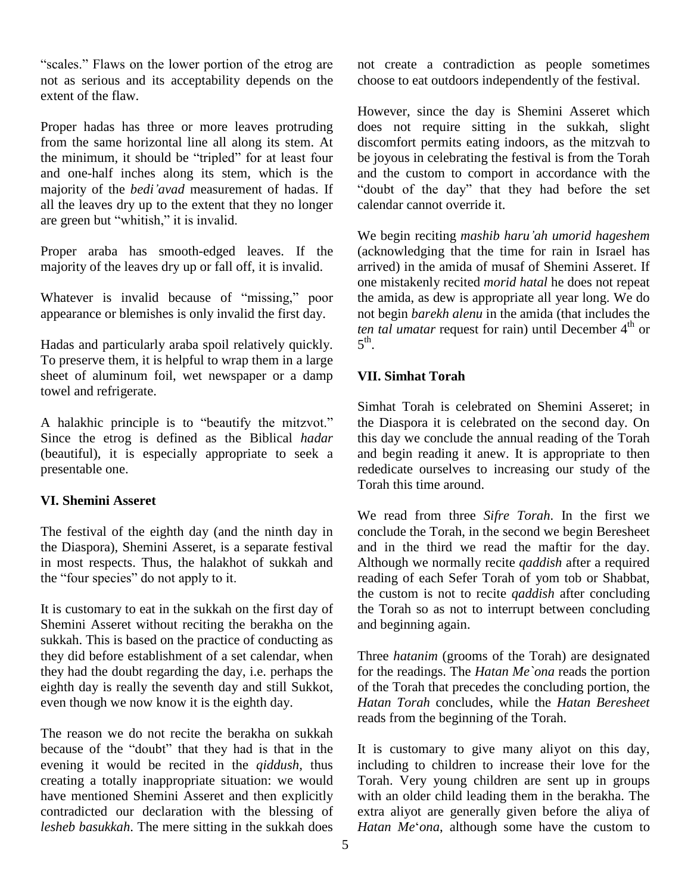"scales." Flaws on the lower portion of the etrog are not as serious and its acceptability depends on the extent of the flaw.

Proper hadas has three or more leaves protruding does<br>from the same horizontal line all along its stem. At discorthe minimum, it should be "tripled" for at least four be jo from the same horizontal line all along its stem. At and one-half inches along its stem, which is the and the custom to comport in accordance with the majority of the *bedi*'avad measurement of hadas. If "doubt of the day" that they had before the set the minimum, it should be "tripled" for at least four<br>and one-half inches along its stem, which is the<br>majority of the *bedi 'avad* measurement of hadas. If all the leaves dry up to the extent that they no longer ca majority of the *bedi'avad* measurement<br>all the leaves dry up to the extent that the<br>are green but "whitish," it is invalid.

Proper araba has smooth-edged leaves. If the majority of the leaves dry up or fall off, it is invalid. an analyzed vector is invalid because of "missing," poor the

appearance or blemishes is only invalid the first day.

Hadas and particularly araba spoil relatively quickly. To preserve them, it is helpful to wrap them in a large sheet of aluminum foil, wet newspaper or a damp towel and refrigerate.

A halakhic principle is to "beautify the mitzvot." Since the etrog is defined as the Biblical *hadar* (beautiful), it is especially appropriate to seek a presentable one.

#### **VI. Shemini Asseret**

The festival of the eighth day (and the ninth day in the Diaspora), Shemini Asseret, is a separate festival<br>in most respects. Thus, the halakhot of sukkah and<br>the "four species" do not apply to it. in most respects. Thus, the halakhot of sukkah and

It is customary to eat in the sukkah on the first day of Shemini Asseret without reciting the berakha on the sukkah. This is based on the practice of conducting as they did before establishment of a set calendar, when they had the doubt regarding the day, i.e. perhaps the eighth day is really the seventh day and still Sukkot, even though we now know it is the eighth day.

The reason we do not recite the berakha on sukkah because of the "doubt" that they had is that in the evening it would be recited in the *qiddush*, thus creating a totally inappropriate situation: we would have mentioned Shemini Asseret and then explicitly contradicted our declaration with the blessing of extra aliyot are generally given before the aliya of *lesheb basukkah*. The mere sitting in the sukkah does *Hatan Me'ona*, although some have the custom to *lesheb basukkah*. The mere sitting in the sukkah does

not create a contradiction as people sometimes choose to eat outdoors independently of the festival.

However, since the day is Shemini Asseret which does not require sitting in the sukkah, slight discomfort permits eating indoors, as the mitzvah to be joyous in celebrating the festival is from the Torah<br>and the custom to comport in accordance with the<br>"doubt of the day" that they had before the set and the custom to comport in accordance with the calendar cannot override it.

We begin reciting *mashib haruíah umorid hageshem* (acknowledging that the time for rain in Israel has arrived) in the amida of musaf of Shemini Asseret. If one mistakenly recited *morid hatal* he does not repeat the amida, as dew is appropriate all year long. We do not begin *barekh alenu* in the amida (that includes the *ten tal umatar* request for rain) until December 4<sup>th</sup> or  $5^{\text{th}}$ .

# **VII. Simhat Torah**

Simhat Torah is celebrated on Shemini Asseret; in the Diaspora it is celebrated on the second day. On this day we conclude the annual reading of the Torah and begin reading it anew. It is appropriate to then rededicate ourselves to increasing our study of the Torah this time around.

We read from three *Sifre Torah*. In the first we conclude the Torah, in the second we begin Beresheet and in the third we read the maftir for the day. Although we normally recite *qaddish* after a required reading of each Sefer Torah of yom tob or Shabbat, the custom is not to recite *qaddish* after concluding the Torah so as not to interrupt between concluding and beginning again.

Three *hatanim* (grooms of the Torah) are designated for the readings. The *Hatan Me`ona* reads the portion of the Torah that precedes the concluding portion, the *Hatan Torah* concludes, while the *Hatan Beresheet* reads from the beginning of the Torah.

It is customary to give many aliyot on this day, including to children to increase their love for the Torah. Very young children are sent up in groups with an older child leading them in the berakha. The extra aliyot are generally given before the aliya of with an older child leading them in the berakha. The extra aliyot are generally given before the aliya of *Hatan Me'ona*, although some have the custom to